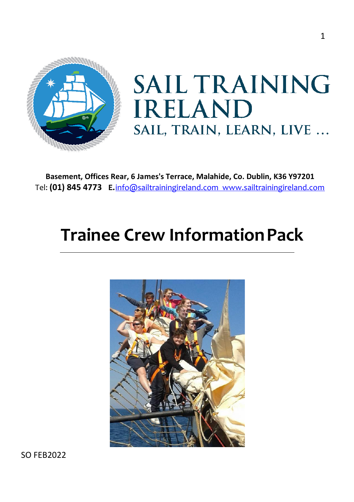

# **SAIL TRAINING IRELAND** SAIL, TRAIN, LEARN, LIVE ...

**Basement, Offices Rear, 6 James's Terrace, Malahide, Co. Dublin, K36 Y97201** Tel: **[\(01\) 845 4773](https://www.google.com/search?q=sail+training+ireland&source=hp&ei=tYEXYrLUFZeA8gLLzqeIBw&iflsig=AHkkrS4AAAAAYhePxdQfAzbo_lENdbMNRVCDkoNnEbiT&gs_ssp=eJzj4tVP1zc0TE83N7aML64yYLRSNagwsTAzN0hNSzQxSTNMsjBOsjKoSDVJMjBINDK1TE0zSUkxTvESLU7MzFEoKUrMzMvMS1fILErNScxLAQBYOxe2&oq=Sail+Training+&gs_lcp=Cgdnd3Mtd2l6EAEYADILCC4QgAQQxwEQrwEyCwguEIAEEMcBEK8BMgUIABCABDIFCAAQgAQyBQgAEIAEMggIABCABBDJAzIFCAAQgAQyBQgAEIAEMgUIABCABDIFCAAQgAQ6FAguEIAEELEDEIMBEMcBENEDENQCOg4ILhCABBCxAxDHARCjAjoLCAAQgAQQsQMQgwE6EQguEIAEELEDEIMBEMcBENEDOgsILhCxAxDHARCjAjoICAAQgAQQsQM6CAguEIAEELEDOggIABCxAxCDAToOCC4QgAQQsQMQgwEQ1AI6CwguEIAEELEDEIMBOgsILhCABBCxAxDUAjoOCC4QgAQQsQMQxwEQrwE6EQguEIAEELEDEMcBEKMCENQCOggILhCABBDUAjoFCC4QgAQ6CwguEIAEEMcBENEDOgcIABCABBAKUABYnx5gvjBoAHAAeAGAAb8CiAHxDZIBBzYuNy4wLjGYAQCgAQE&sclient=gws-wiz) E.**[info@sailtrainingireland.com](mailto:info@sailtrainingireland.com) [www.sailtrainingireland.com](http://www.sailtrainingireland.com/)

# **Trainee Crew InformationPack**



SO FEB2022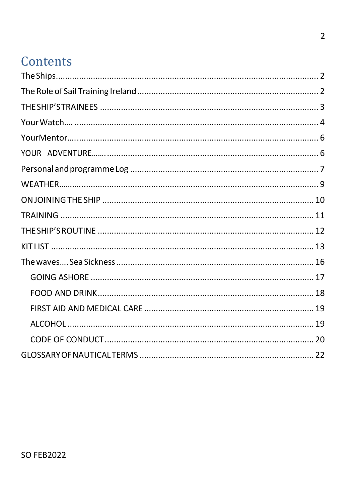## Contents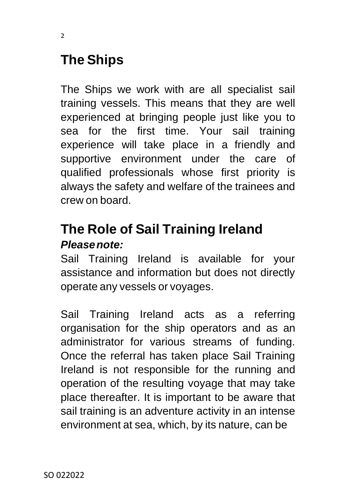## <span id="page-2-0"></span>**The Ships**

The Ships we work with are all specialist sail training vessels. This means that they are well experienced at bringing people just like you to sea for the first time. Your sail training experience will take place in a friendly and supportive environment under the care of qualified professionals whose first priority is always the safety and welfare of the trainees and crew on board.

### <span id="page-2-1"></span>**The Role of Sail Training Ireland** *Pleasenote:*

Sail Training Ireland is available for your assistance and information but does not directly operate any vessels or voyages.

Sail Training Ireland acts as a referring organisation for the ship operators and as an administrator for various streams of funding. Once the referral has taken place Sail Training Ireland is not responsible for the running and operation of the resulting voyage that may take place thereafter. It is important to be aware that sail training is an adventure activity in an intense environment at sea, which, by its nature, can be

 $\overline{2}$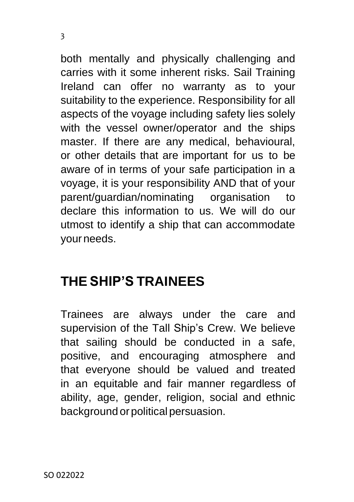both mentally and physically challenging and carries with it some inherent risks. Sail Training Ireland can offer no warranty as to your suitability to the experience. Responsibility for all aspects of the voyage including safety lies solely with the vessel owner/operator and the ships master. If there are any medical, behavioural, or other details that are important for us to be aware of in terms of your safe participation in a voyage, it is your responsibility AND that of your parent/guardian/nominating organisation to declare this information to us. We will do our utmost to identify a ship that can accommodate yourneeds.

### <span id="page-3-0"></span>**THE SHIP'S TRAINEES**

Trainees are always under the care and supervision of the Tall Ship's Crew. We believe that sailing should be conducted in a safe, positive, and encouraging atmosphere and that everyone should be valued and treated in an equitable and fair manner regardless of ability, age, gender, religion, social and ethnic background or political persuasion.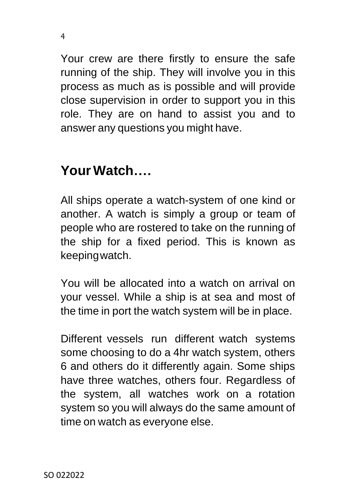Your crew are there firstly to ensure the safe running of the ship. They will involve you in this process as much as is possible and will provide close supervision in order to support you in this role. They are on hand to assist you and to answer any questions you might have.

### <span id="page-4-0"></span>**YourWatch….**

All ships operate a watch-system of one kind or another. A watch is simply a group or team of people who are rostered to take on the running of the ship for a fixed period. This is known as keepingwatch.

You will be allocated into a watch on arrival on your vessel. While a ship is at sea and most of the time in port the watch system will be in place.

Different vessels run different watch systems some choosing to do a 4hr watch system, others 6 and others do it differently again. Some ships have three watches, others four. Regardless of the system, all watches work on a rotation system so you will always do the same amount of time on watch as everyone else.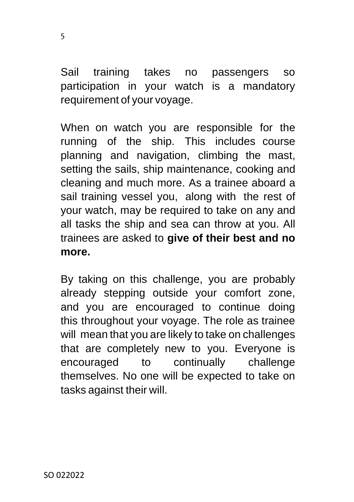Sail training takes no passengers so participation in your watch is a mandatory requirement of your voyage.

When on watch you are responsible for the running of the ship. This includes course planning and navigation, climbing the mast, setting the sails, ship maintenance, cooking and cleaning and much more. As a trainee aboard a sail training vessel you, along with the rest of your watch, may be required to take on any and all tasks the ship and sea can throw at you. All trainees are asked to **give of their best and no more.**

By taking on this challenge, you are probably already stepping outside your comfort zone, and you are encouraged to continue doing this throughout your voyage. The role as trainee will mean that you are likely to take on challenges that are completely new to you. Everyone is encouraged to continually challenge themselves. No one will be expected to take on tasks against their will.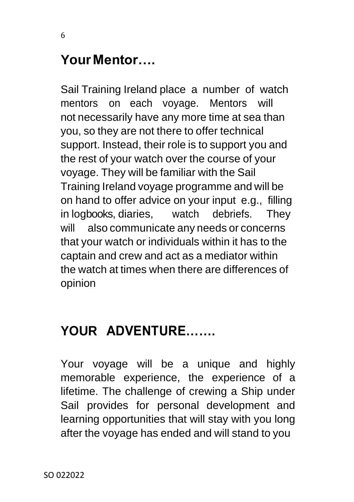### <span id="page-6-0"></span>**YourMentor….**

6

Sail Training Ireland place a number of watch mentors on each voyage. Mentors will not necessarily have any more time at sea than you, so they are not there to offer technical support. Instead, their role is to support you and the rest of your watch over the course of your voyage. They will be familiar with the Sail Training Ireland voyage programme and will be on hand to offer advice on your input e.g., filling in logbooks, diaries, watch debriefs. They will also communicate any needs or concerns that your watch or individuals within it has to the captain and crew and act as a mediator within the watch at times when there are differences of opinion

### <span id="page-6-1"></span>**YOUR ADVENTURE…….**

Your voyage will be a unique and highly memorable experience, the experience of a lifetime. The challenge of crewing a Ship under Sail provides for personal development and learning opportunities that will stay with you long after the voyage has ended and will stand to you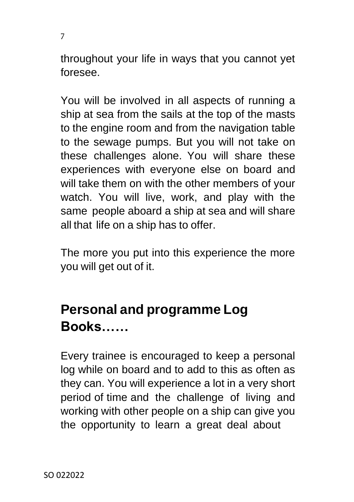throughout your life in ways that you cannot yet foresee.

You will be involved in all aspects of running a ship at sea from the sails at the top of the masts to the engine room and from the navigation table to the sewage pumps. But you will not take on these challenges alone. You will share these experiences with everyone else on board and will take them on with the other members of your watch. You will live, work, and play with the same people aboard a ship at sea and will share all that life on a ship has to offer.

The more you put into this experience the more you will get out of it.

## <span id="page-7-0"></span>**Personal and programme Log Books……**

Every trainee is encouraged to keep a personal log while on board and to add to this as often as they can. You will experience a lot in a very short period of time and the challenge of living and working with other people on a ship can give you the opportunity to learn a great deal about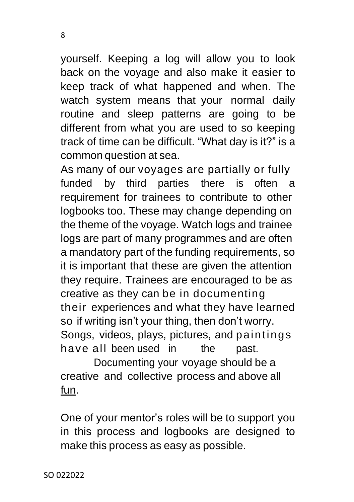yourself. Keeping a log will allow you to look back on the voyage and also make it easier to keep track of what happened and when. The watch system means that your normal daily routine and sleep patterns are going to be different from what you are used to so keeping track of time can be difficult. "What day is it?" is a common question at sea.

As many of our voyages are partially or fully funded by third parties there is often a requirement for trainees to contribute to other logbooks too. These may change depending on the theme of the voyage. Watch logs and trainee logs are part of many programmes and are often a mandatory part of the funding requirements, so it is important that these are given the attention they require. Trainees are encouraged to be as creative as they can be in documenting their experiences and what they have learned so if writing isn't your thing, then don't worry. Songs, videos, plays, pictures, and paintings have all been used in the past.

Documenting your voyage should be a creative and collective process and above all fun.

One of your mentor's roles will be to support you in this process and logbooks are designed to make this process as easy as possible.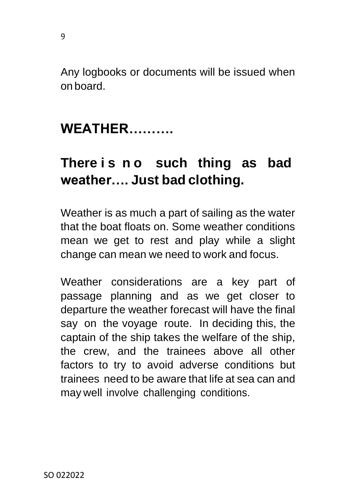Any logbooks or documents will be issued when on board.

### <span id="page-9-0"></span>**WEATHER……….**

9

### **There i s n o such thing as bad weather…. Just bad clothing.**

Weather is as much a part of sailing as the water that the boat floats on. Some weather conditions mean we get to rest and play while a slight change can mean we need to work and focus.

Weather considerations are a key part of passage planning and as we get closer to departure the weather forecast will have the final say on the voyage route. In deciding this, the captain of the ship takes the welfare of the ship, the crew, and the trainees above all other factors to try to avoid adverse conditions but trainees need to be aware that life at sea can and may well involve challenging conditions.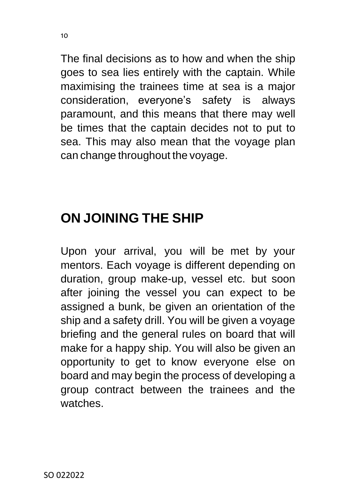The final decisions as to how and when the ship goes to sea lies entirely with the captain. While maximising the trainees time at sea is a major consideration, everyone's safety is always paramount, and this means that there may well be times that the captain decides not to put to sea. This may also mean that the voyage plan can change throughout the voyage.

# <span id="page-10-0"></span>**ON JOINING THE SHIP**

Upon your arrival, you will be met by your mentors. Each voyage is different depending on duration, group make-up, vessel etc. but soon after joining the vessel you can expect to be assigned a bunk, be given an orientation of the ship and a safety drill. You will be given a voyage briefing and the general rules on board that will make for a happy ship. You will also be given an opportunity to get to know everyone else on board and may begin the process of developing a group contract between the trainees and the watches.

 $1<sub>0</sub>$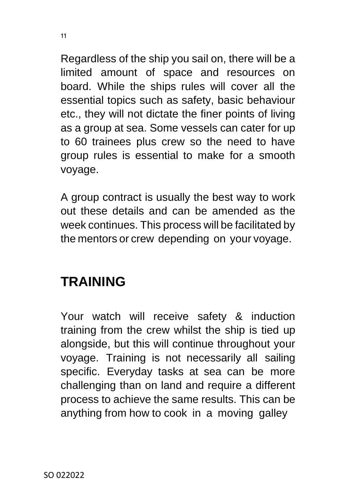Regardless of the ship you sail on, there will be a limited amount of space and resources on board. While the ships rules will cover all the essential topics such as safety, basic behaviour etc., they will not dictate the finer points of living as a group at sea. Some vessels can cater for up to 60 trainees plus crew so the need to have group rules is essential to make for a smooth voyage.

A group contract is usually the best way to work out these details and can be amended as the week continues. This process will be facilitated by the mentors or crew depending on your voyage.

### <span id="page-11-0"></span>**TRAINING**

Your watch will receive safety & induction training from the crew whilst the ship is tied up alongside, but this will continue throughout your voyage. Training is not necessarily all sailing specific. Everyday tasks at sea can be more challenging than on land and require a different process to achieve the same results. This can be anything from how to cook in a moving galley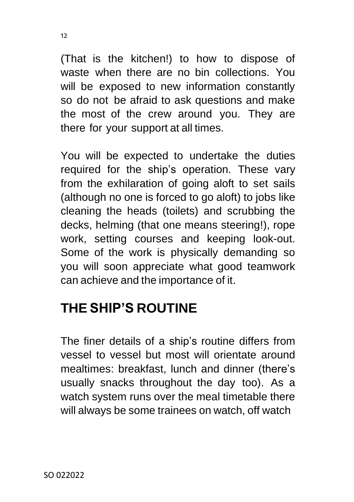(That is the kitchen!) to how to dispose of waste when there are no bin collections. You will be exposed to new information constantly so do not be afraid to ask questions and make the most of the crew around you. They are there for your support at all times.

You will be expected to undertake the duties required for the ship's operation. These vary from the exhilaration of going aloft to set sails (although no one is forced to go aloft) to jobs like cleaning the heads (toilets) and scrubbing the decks, helming (that one means steering!), rope work, setting courses and keeping look-out. Some of the work is physically demanding so you will soon appreciate what good teamwork can achieve and the importance of it.

## <span id="page-12-0"></span>**THE SHIP'S ROUTINE**

The finer details of a ship's routine differs from vessel to vessel but most will orientate around mealtimes: breakfast, lunch and dinner (there's usually snacks throughout the day too). As a watch system runs over the meal timetable there will always be some trainees on watch, off watch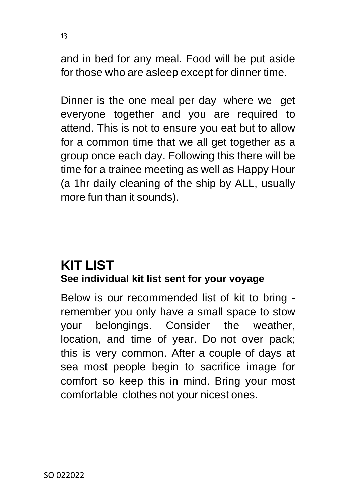and in bed for any meal. Food will be put aside for those who are asleep except for dinner time.

Dinner is the one meal per day where we get everyone together and you are required to attend. This is not to ensure you eat but to allow for a common time that we all get together as a group once each day. Following this there will be time for a trainee meeting as well as Happy Hour (a 1hr daily cleaning of the ship by ALL, usually more fun than it sounds).

#### <span id="page-13-0"></span>**KIT LIST See individual kit list sent for your voyage**

Below is our recommended list of kit to bring remember you only have a small space to stow your belongings. Consider the weather, location, and time of year. Do not over pack; this is very common. After a couple of days at sea most people begin to sacrifice image for comfort so keep this in mind. Bring your most comfortable clothes not your nicest ones.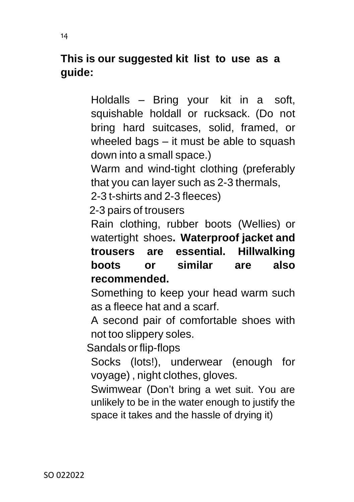#### **This is our suggested kit list to use as a guide:**

Holdalls – Bring your kit in a soft, squishable holdall or rucksack. (Do not bring hard suitcases, solid, framed, or wheeled bags – it must be able to squash down into a small space.)

Warm and wind-tight clothing (preferably that you can layer such as 2-3 thermals,

2-3 t-shirts and 2-3 fleeces)

2-3 pairs of trousers

Rain clothing, rubber boots (Wellies) or watertight shoes**. Waterproof jacket and trousers are essential. Hillwalking boots or similar are also recommended.**

Something to keep your head warm such as a fleece hat and a scarf.

A second pair of comfortable shoes with not too slippery soles.

Sandals or flip-flops

Socks (lots!), underwear (enough for voyage) , night clothes, gloves.

Swimwear (Don't bring a wet suit. You are unlikely to be in the water enough to justify the space it takes and the hassle of drying it)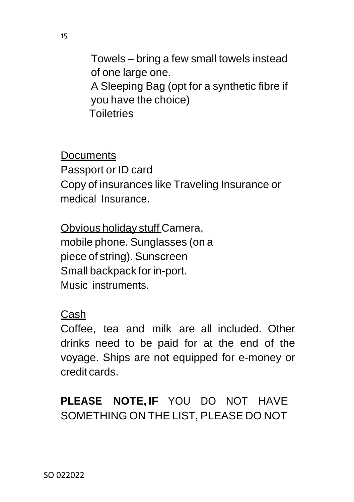Towels – bring a few small towels instead of one large one. A Sleeping Bag (opt for a synthetic fibre if you have the choice) **Toiletries** 

**Documents** Passport or ID card Copy of insurances like Traveling Insurance or medical Insurance.

Obvious holiday stuff Camera, mobile phone. Sunglasses (on a piece of string). Sunscreen Small backpack for in-port. Music instruments.

#### Cash

Coffee, tea and milk are all included. Other drinks need to be paid for at the end of the voyage. Ships are not equipped for e-money or credit cards.

**PLEASE NOTE, IF** YOU DO NOT HAVE SOMETHING ON THE LIST, PLEASE DO NOT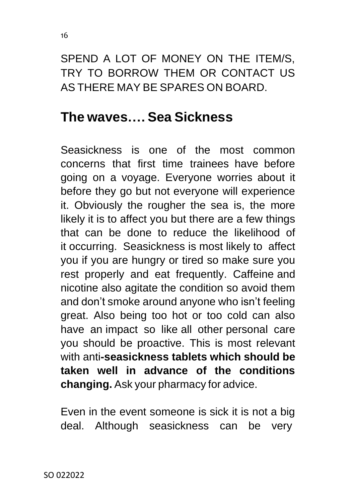16

SPEND A LOT OF MONEY ON THE ITEM/S, TRY TO BORROW THEM OR CONTACT US AS THERE MAY BE SPARES ON BOARD.

### <span id="page-16-0"></span>**The waves…. Sea Sickness**

Seasickness is one of the most common concerns that first time trainees have before going on a voyage. Everyone worries about it before they go but not everyone will experience it. Obviously the rougher the sea is, the more likely it is to affect you but there are a few things that can be done to reduce the likelihood of it occurring. Seasickness is most likely to affect you if you are hungry or tired so make sure you rest properly and eat frequently. Caffeine and nicotine also agitate the condition so avoid them and don't smoke around anyone who isn't feeling great. Also being too hot or too cold can also have an impact so like all other personal care you should be proactive. This is most relevant with anti**-seasickness tablets which should be taken well in advance of the conditions changing.** Ask your pharmacy for advice.

Even in the event someone is sick it is not a big deal. Although seasickness can be very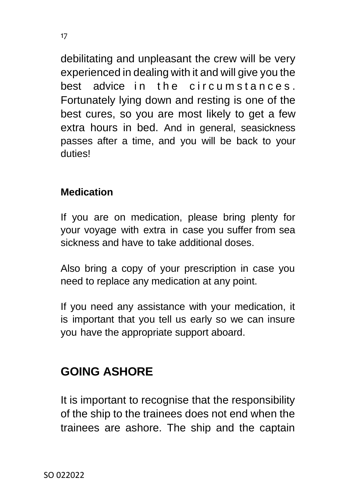debilitating and unpleasant the crew will be very experienced in dealing with it and will give you the best advice in the circumstances. Fortunately lying down and resting is one of the best cures, so you are most likely to get a few extra hours in bed. And in general, seasickness passes after a time, and you will be back to your duties!

#### **Medication**

If you are on medication, please bring plenty for your voyage with extra in case you suffer from sea sickness and have to take additional doses.

Also bring a copy of your prescription in case you need to replace any medication at any point.

If you need any assistance with your medication, it is important that you tell us early so we can insure you have the appropriate support aboard.

### <span id="page-17-0"></span>**GOING ASHORE**

It is important to recognise that the responsibility of the ship to the trainees does not end when the trainees are ashore. The ship and the captain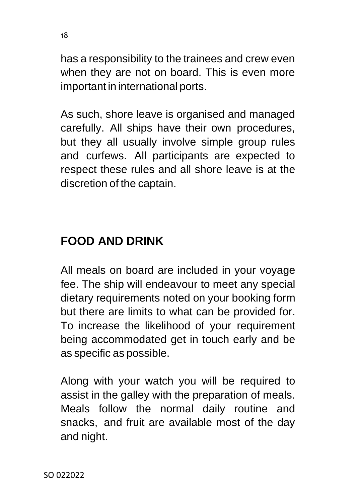has a responsibility to the trainees and crew even when they are not on board. This is even more important in international ports.

As such, shore leave is organised and managed carefully. All ships have their own procedures, but they all usually involve simple group rules and curfews. All participants are expected to respect these rules and all shore leave is at the discretion of the captain.

### <span id="page-18-0"></span>**FOOD AND DRINK**

All meals on board are included in your voyage fee. The ship will endeavour to meet any special dietary requirements noted on your booking form but there are limits to what can be provided for. To increase the likelihood of your requirement being accommodated get in touch early and be as specific as possible.

Along with your watch you will be required to assist in the galley with the preparation of meals. Meals follow the normal daily routine and snacks, and fruit are available most of the day and night.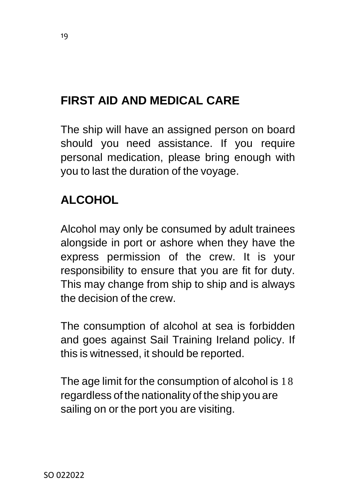### <span id="page-19-0"></span>**FIRST AID AND MEDICAL CARE**

The ship will have an assigned person on board should you need assistance. If you require personal medication, please bring enough with you to last the duration of the voyage.

#### <span id="page-19-1"></span>**ALCOHOL**

Alcohol may only be consumed by adult trainees alongside in port or ashore when they have the express permission of the crew. It is your responsibility to ensure that you are fit for duty. This may change from ship to ship and is always the decision of the crew.

The consumption of alcohol at sea is forbidden and goes against Sail Training Ireland policy. If this is witnessed, it should be reported.

The age limit for the consumption of alcohol is 1 8 regardless of the nationality of the ship you are sailing on or the port you are visiting.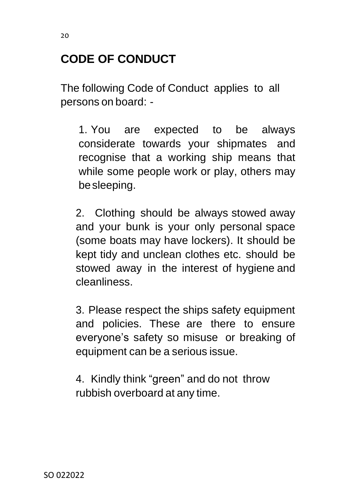### <span id="page-20-0"></span>**CODE OF CONDUCT**

The following Code of Conduct applies to all persons on board: -

1. You are expected to be always considerate towards your shipmates and recognise that a working ship means that while some people work or play, others may besleeping.

2. Clothing should be always stowed away and your bunk is your only personal space (some boats may have lockers). It should be kept tidy and unclean clothes etc. should be stowed away in the interest of hygiene and cleanliness.

3. Please respect the ships safety equipment and policies. These are there to ensure everyone's safety so misuse or breaking of equipment can be a serious issue.

4. Kindly think "green" and do not throw rubbish overboard at any time.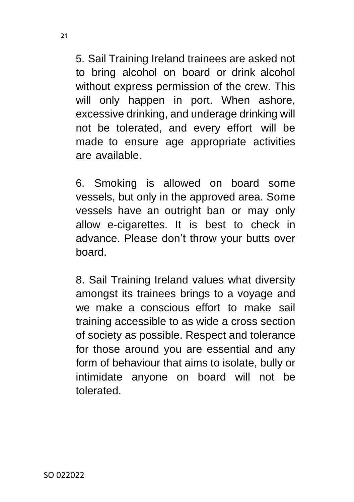5. Sail Training Ireland trainees are asked not to bring alcohol on board or drink alcohol without express permission of the crew. This will only happen in port. When ashore, excessive drinking, and underage drinking will not be tolerated, and every effort will be made to ensure age appropriate activities are available.

6. Smoking is allowed on board some vessels, but only in the approved area. Some vessels have an outright ban or may only allow e-cigarettes. It is best to check in advance. Please don't throw your butts over board.

8. Sail Training Ireland values what diversity amongst its trainees brings to a voyage and we make a conscious effort to make sail training accessible to as wide a cross section of society as possible. Respect and tolerance for those around you are essential and any form of behaviour that aims to isolate, bully or intimidate anyone on board will not be tolerated.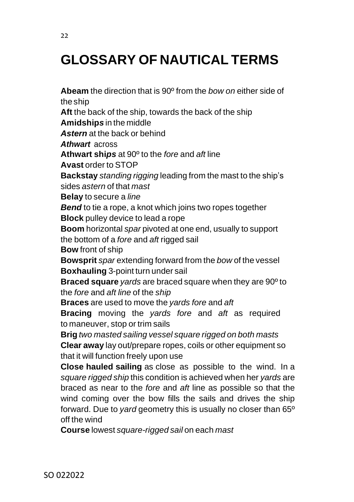# <span id="page-22-0"></span>**GLOSSARY OF NAUTICAL TERMS**

**Abeam** the direction that is 90º from the *bow on* either side of the ship **Aft** the back of the ship, towards the back of the ship **Amidship***s* in the middle *Astern* at the back or behind *Athwart* across **Athwart shi***ps* at 90º to the *fore* and *aft* line **Avast** order to STOP **Backstay** *standing rigging* leading from the mast to the ship's sides *astern* of that *mast* **Belay** to secure a *line Bend* to tie a rope, a knot which joins two ropes together **Block** pulley device to lead a rope **Boom** horizontal *spar* pivoted at one end, usually to support the bottom of a *fore* and *aft* rigged sail **Bow** front of ship **Bowsprit** *spar* extending forward from the *bow* of the vessel **Boxhauling** 3-point turn under sail **Braced square** *yards* are braced square when they are 90º to the *fore* and *aft line* of the *ship* **Braces** are used to move the *yards fore* and *aft* **Bracing** moving the *yards fore* and *aft* as required to maneuver, stop or trim sails **Brig** *two masted sailing vessel square rigged on both masts* **Clear away** lay out/prepare ropes, coils or other equipment so that it will function freely upon use **Close hauled sailing** as close as possible to the wind. In a *square rigged ship* this condition is achieved when her *yards* are braced as near to the *fore* and *aft* line as possible so that the wind coming over the bow fills the sails and drives the ship forward. Due to *yard* geometry this is usually no closer than 65º off the wind **Course** lowest *square-rigged sail* on each *mast*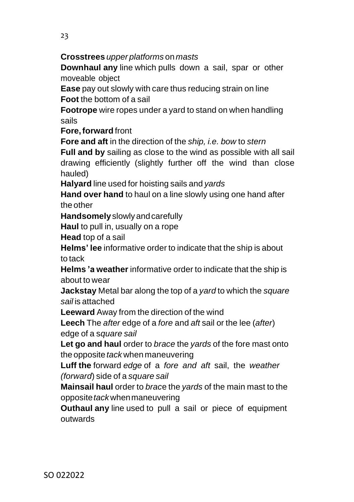#### **Crosstrees** *upper platforms* on *masts*

**Downhaul any** line which pulls down a sail, spar or other moveable object

**Ease** pay out slowly with care thus reducing strain on line **Foot** the bottom of a sail

**Footrope** wire ropes under a yard to stand on when handling sails

**Fore,forward** front

**Fore and aft** in the direction of the *ship, i.e. bow* to *stern*

**Full and by** sailing as close to the wind as possible with all sail drawing efficiently (slightly further off the wind than close hauled)

**Halyard** line used for hoisting sails and *yards*

**Hand over hand** to haul on a line slowly using one hand after the other

**Handsomely**slowly andcarefully

**Haul** to pull in, usually on a rope

**Head** top of a sail

**Helms' lee** informative order to indicate that the ship is about to tack

**Helms 'a weather** informative order to indicate that the ship is about to wear

**Jackstay** Metal bar along the top of a *yard* to which the *square sail* is attached

**Leeward** Away from the direction of the wind

**Leech** The *after* edge of a *fore* and *aft* sail or the lee (*after*) edge of a s*quare sail*

**Let go and haul** order to *brace* the *yards* of the fore mast onto the opposite *tack* when maneuvering

**Luff the** forward *edge* of a *fore and aft* sail, the *weather (forward*) side of a *square sail*

**Mainsail haul** order to *brac*e the *yards* of the main mast to the opposite*tack*whenmaneuvering

**Outhaul any** line used to pull a sail or piece of equipment outwards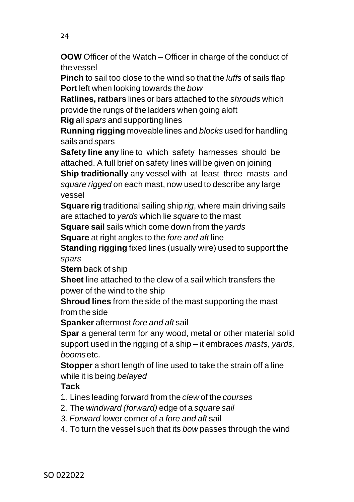**OOW** Officer of the Watch – Officer in charge of the conduct of thevessel

**Pinch** to sail too close to the wind so that the *luffs* of sails flap **Port** left when looking towards the *bow*

**Ratlines, ratbars** lines or bars attached to the *shrouds* which provide the rungs of the ladders when going aloft

**Rig** all *spars* and supporting lines

**Running rigging** moveable lines and *blocks* used for handling sails and spars

**Safety line any** line to which safety harnesses should be attached. A full brief on safety lines will be given on joining

**Ship traditionally** any vessel with at least three masts and *square rigged* on each mast, now used to describe any large vessel

**Square rig** traditional sailing ship *rig*, where main driving sails are attached to *yards* which lie *square* to the mast

**Square sail** sails which come down from the *yards*

**Square** at right angles to the *fore and aft* line

**Standing rigging** fixed lines (usually wire) used to support the *spars*

**Stern** back of ship

**Sheet** line attached to the clew of a sail which transfers the power of the wind to the ship

**Shroud lines** from the side of the mast supporting the mast from the side

**Spanker** aftermost *fore and aft* sail

**Spar** a general term for any wood, metal or other material solid support used in the rigging of a ship – it embraces *masts, yards, booms*etc.

**Stopper** a short length of line used to take the strain off a line while it is being *belayed*

#### **Tack**

- 1. Lines leading forward from the *clew* of the *courses*
- 2. The *windward (forward)* edge of a *square sail*
- *3. Forward* lower corner of a *fore and aft* sail
- 4. To turn the vessel such that its *bow* passes through the wind